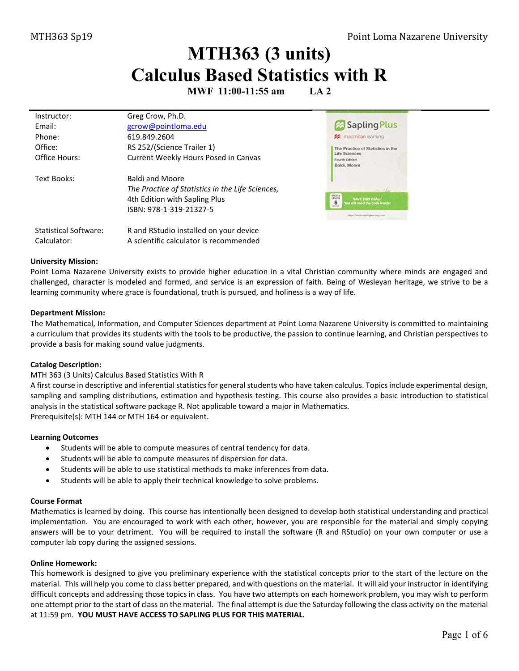# **MTH363 (3 units) Calculus Based Statistics with R**

**MWF 11:00-11:55 am LA 2**

| Instructor:                  | Greg Crow, Ph.D.                                 |                                                                 |
|------------------------------|--------------------------------------------------|-----------------------------------------------------------------|
| Email:                       | gcrow@pointloma.edu                              | Sapling Plus                                                    |
| Phone:                       | 619.849.2604                                     | <b>22</b> macmillan learning                                    |
| Office:                      | RS 252/(Science Trailer 1)                       | The Practice of Statistics in the                               |
| Office Hours:                | Current Weekly Hours Posed in Canvas             | Life Sciences<br>Fourth Edition<br>Baldi, Moore                 |
| Text Books:                  | <b>Baldi and Moore</b>                           |                                                                 |
|                              | The Practice of Statistics in the Life Sciences, | $-36$                                                           |
|                              | 4th Edition with Sapling Plus                    | ADDESS<br>SAVE THIS CAND!<br>6<br>You will need the code inside |
|                              | ISBN: 978-1-319-21327-5                          | <b><i>Britain's</i></b><br>Maxil Views and inglearning costs    |
| <b>Statistical Software:</b> | R and RStudio installed on your device           |                                                                 |
| Calculator:                  | A scientific calculator is recommended           |                                                                 |

#### **University Mission:**

Point Loma Nazarene University exists to provide higher education in a vital Christian community where minds are engaged and challenged, character is modeled and formed, and service is an expression of faith. Being of Wesleyan heritage, we strive to be a learning community where grace is foundational, truth is pursued, and holiness is a way of life.

#### **Department Mission:**

The Mathematical, Information, and Computer Sciences department at Point Loma Nazarene University is committed to maintaining a curriculum that provides its students with the tools to be productive, the passion to continue learning, and Christian perspectives to provide a basis for making sound value judgments.

### **Catalog Description:**

#### MTH 363 (3 Units) Calculus Based Statistics With R

A first course in descriptive and inferential statistics for general students who have taken calculus. Topics include experimental design, sampling and sampling distributions, estimation and hypothesis testing. This course also provides a basic introduction to statistical analysis in the statistical software package R. Not applicable toward a major in Mathematics. Prerequisite(s): [MTH 144](http://catalog.pointloma.edu/content.php?filter%5B27%5D=MTH&filter%5B29%5D=363&filter%5Bcourse_type%5D=-1&filter%5Bkeyword%5D=&filter%5B32%5D=1&filter%5Bcpage%5D=1&cur_cat_oid=24&expand=&navoid=1590&search_database=Filter#tt1159) o[r MTH 164](http://catalog.pointloma.edu/content.php?filter%5B27%5D=MTH&filter%5B29%5D=363&filter%5Bcourse_type%5D=-1&filter%5Bkeyword%5D=&filter%5B32%5D=1&filter%5Bcpage%5D=1&cur_cat_oid=24&expand=&navoid=1590&search_database=Filter#tt237) or equivalent.

#### **Learning Outcomes**

- Students will be able to compute measures of central tendency for data.
- Students will be able to compute measures of dispersion for data.
- Students will be able to use statistical methods to make inferences from data.
- Students will be able to apply their technical knowledge to solve problems.

#### **Course Format**

Mathematics is learned by doing. This course has intentionally been designed to develop both statistical understanding and practical implementation. You are encouraged to work with each other, however, you are responsible for the material and simply copying answers will be to your detriment. You will be required to install the software (R and RStudio) on your own computer or use a computer lab copy during the assigned sessions.

#### **Online Homework:**

This homework is designed to give you preliminary experience with the statistical concepts prior to the start of the lecture on the material. This will help you come to class better prepared, and with questions on the material. It will aid your instructor in identifying difficult concepts and addressing those topics in class. You have two attempts on each homework problem, you may wish to perform one attempt prior to the start of class on the material. The final attempt is due the Saturday following the class activity on the material at 11:59 pm. **YOU MUST HAVE ACCESS TO SAPLING PLUS FOR THIS MATERIAL.**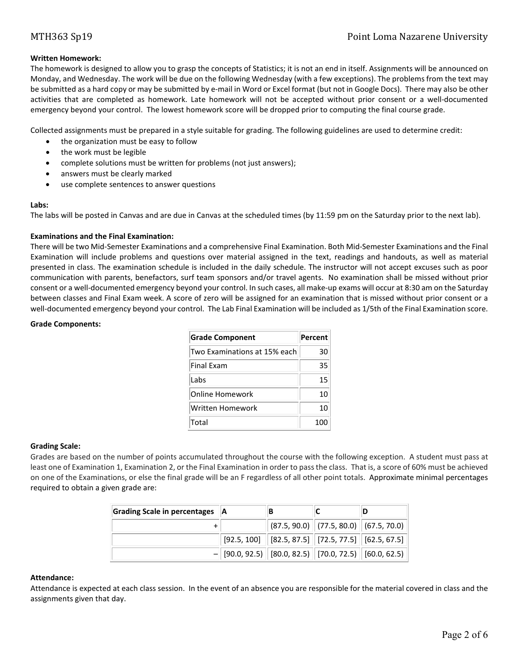## **Written Homework:**

The homework is designed to allow you to grasp the concepts of Statistics; it is not an end in itself. Assignments will be announced on Monday, and Wednesday. The work will be due on the following Wednesday (with a few exceptions). The problems from the text may be submitted as a hard copy or may be submitted by e-mail in Word or Excel format (but not in Google Docs). There may also be other activities that are completed as homework. Late homework will not be accepted without prior consent or a well-documented emergency beyond your control. The lowest homework score will be dropped prior to computing the final course grade.

Collected assignments must be prepared in a style suitable for grading. The following guidelines are used to determine credit:

- the organization must be easy to follow
- the work must be legible
- complete solutions must be written for problems (not just answers);
- answers must be clearly marked
- use complete sentences to answer questions

#### **Labs:**

The labs will be posted in Canvas and are due in Canvas at the scheduled times (by 11:59 pm on the Saturday prior to the next lab).

### **Examinations and the Final Examination:**

There will be two Mid-Semester Examinations and a comprehensive Final Examination. Both Mid-Semester Examinations and the Final Examination will include problems and questions over material assigned in the text, readings and handouts, as well as material presented in class. The examination schedule is included in the daily schedule. The instructor will not accept excuses such as poor communication with parents, benefactors, surf team sponsors and/or travel agents. No examination shall be missed without prior consent or a well-documented emergency beyond your control. In such cases, all make-up exams will occur at 8:30 am on the Saturday between classes and Final Exam week. A score of zero will be assigned for an examination that is missed without prior consent or a well-documented emergency beyond your control. The Lab Final Examination will be included as 1/5th of the Final Examination score.

#### **Grade Components:**

| <b>Grade Component</b>       | Percent |
|------------------------------|---------|
| Two Examinations at 15% each | 30      |
| <b>Final Fxam</b>            | 35      |
| Labs                         | 15      |
| Online Homework              | 10      |
| Written Homework             | 10      |
| Total                        | 100     |

### **Grading Scale:**

Grades are based on the number of points accumulated throughout the course with the following exception. A student must pass at least one of Examination 1, Examination 2, or the Final Examination in order to pass the class. That is, a score of 60% must be achieved on one of the Examinations, or else the final grade will be an F regardless of all other point totals. Approximate minimal percentages required to obtain a given grade are:

| Grading Scale in percentages   A | в |                                                                                                         |  |  |
|----------------------------------|---|---------------------------------------------------------------------------------------------------------|--|--|
|                                  |   | $\mid$ (87.5, 90.0) $\mid$ (77.5, 80.0) $\mid$ (67.5, 70.0) $\mid$                                      |  |  |
|                                  |   | $\mid$ [92.5, 100] $\mid\mid$ [82.5, 87.5] $\mid\mid$ [72.5, 77.5] $\mid\mid$ [62.5, 67.5] $\mid\mid$   |  |  |
|                                  |   | $-$ [90.0, 92.5) $\parallel$ [80.0, 82.5) $\parallel$ [70.0, 72.5) $\parallel$ [60.0, 62.5) $\parallel$ |  |  |

## **Attendance:**

Attendance is expected at each class session. In the event of an absence you are responsible for the material covered in class and the assignments given that day.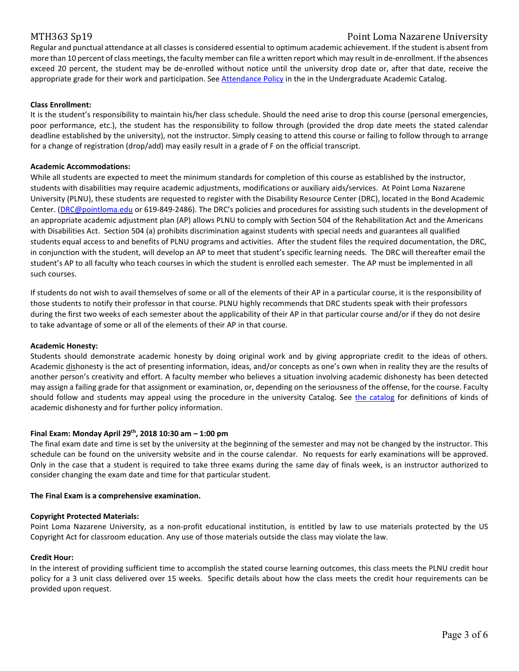## MTH363 Sp19 Point Loma Nazarene University

Regular and punctual attendance at all classes is considered essential to optimum academic achievement. If the student is absent from more than 10 percent of class meetings, the faculty member can file a written report which may result in de-enrollment. If the absences exceed 20 percent, the student may be de-enrolled without notice until the university drop date or, after that date, receive the appropriate grade for their work and participation. Se[e Attendance Policy](https://catalog.pointloma.edu/content.php?catoid=28&navoid=1761#Class_Attendance) in the in the Undergraduate Academic Catalog.

### **Class Enrollment:**

It is the student's responsibility to maintain his/her class schedule. Should the need arise to drop this course (personal emergencies, poor performance, etc.), the student has the responsibility to follow through (provided the drop date meets the stated calendar deadline established by the university), not the instructor. Simply ceasing to attend this course or failing to follow through to arrange for a change of registration (drop/add) may easily result in a grade of F on the official transcript.

#### **Academic Accommodations:**

While all students are expected to meet the minimum standards for completion of this course as established by the instructor, students with disabilities may require academic adjustments, modifications or auxiliary aids/services. At Point Loma Nazarene University (PLNU), these students are requested to register with the Disability Resource Center (DRC), located in the Bond Academic Center. [\(DRC@pointloma.edu](mailto:DRC@pointloma.edu) or 619-849-2486). The DRC's policies and procedures for assisting such students in the development of an appropriate academic adjustment plan (AP) allows PLNU to comply with Section 504 of the Rehabilitation Act and the Americans with Disabilities Act. Section 504 (a) prohibits discrimination against students with special needs and guarantees all qualified students equal access to and benefits of PLNU programs and activities. After the student files the required documentation, the DRC, in conjunction with the student, will develop an AP to meet that student's specific learning needs. The DRC will thereafter email the student's AP to all faculty who teach courses in which the student is enrolled each semester. The AP must be implemented in all such courses.

If students do not wish to avail themselves of some or all of the elements of their AP in a particular course, it is the responsibility of those students to notify their professor in that course. PLNU highly recommends that DRC students speak with their professors during the first two weeks of each semester about the applicability of their AP in that particular course and/or if they do not desire to take advantage of some or all of the elements of their AP in that course.

#### **Academic Honesty:**

Students should demonstrate academic honesty by doing original work and by giving appropriate credit to the ideas of others. Academic dishonesty is the act of presenting information, ideas, and/or concepts as one's own when in reality they are the results of another person's creativity and effort. A faculty member who believes a situation involving academic dishonesty has been detected may assign a failing grade for that assignment or examination, or, depending on the seriousness of the offense, for the course. Faculty should follow and students may appeal using the procedure in the university Catalog. See [the catalog](https://catalog.pointloma.edu/content.php?catoid=28&navoid=1761#Academic_Honesty) for definitions of kinds of academic dishonesty and for further policy information.

### **Final Exam: Monday April 29th, 2018 10:30 am – 1:00 pm**

The final exam date and time is set by the university at the beginning of the semester and may not be changed by the instructor. This schedule can be found on the university website and in the course calendar. No requests for early examinations will be approved. Only in the case that a student is required to take three exams during the same day of finals week, is an instructor authorized to consider changing the exam date and time for that particular student.

#### **The Final Exam is a comprehensive examination.**

#### **Copyright Protected Materials:**

Point Loma Nazarene University, as a non-profit educational institution, is entitled by law to use materials protected by the US Copyright Act for classroom education. Any use of those materials outside the class may violate the law.

#### **Credit Hour:**

In the interest of providing sufficient time to accomplish the stated course learning outcomes, this class meets the PLNU credit hour policy for a 3 unit class delivered over 15 weeks. Specific details about how the class meets the credit hour requirements can be provided upon request.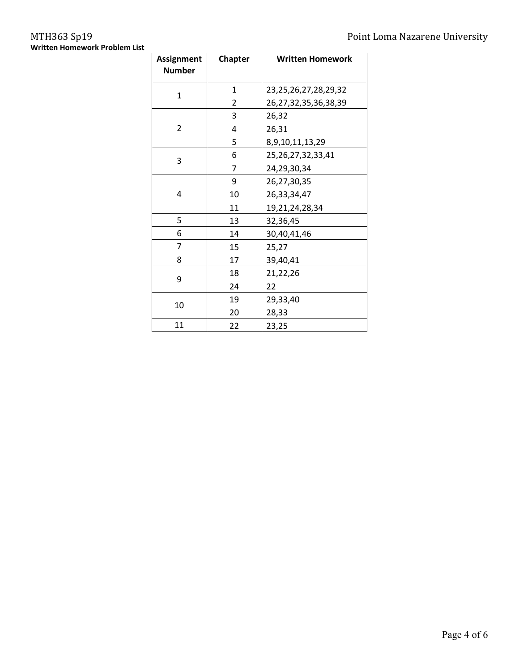# **Written Homework Problem List**

| <b>Assignment</b><br><b>Number</b> | <b>Chapter</b> | <b>Written Homework</b>    |  |  |  |  |
|------------------------------------|----------------|----------------------------|--|--|--|--|
| 1                                  | 1              | 23,25,26,27,28,29,32       |  |  |  |  |
|                                    | 2              | 26, 27, 32, 35, 36, 38, 39 |  |  |  |  |
|                                    | 3              | 26,32                      |  |  |  |  |
| $\overline{2}$                     | 4              | 26,31                      |  |  |  |  |
|                                    | 5              | 8,9,10,11,13,29            |  |  |  |  |
| 3                                  | 6              | 25, 26, 27, 32, 33, 41     |  |  |  |  |
|                                    | 7              | 24,29,30,34                |  |  |  |  |
|                                    | 9              | 26,27,30,35                |  |  |  |  |
| 4                                  | 10             | 26,33,34,47                |  |  |  |  |
|                                    | 11             | 19,21,24,28,34             |  |  |  |  |
| 5                                  | 13             | 32,36,45                   |  |  |  |  |
| 6                                  | 14             | 30,40,41,46                |  |  |  |  |
| 7                                  | 15             | 25,27                      |  |  |  |  |
| 8                                  | 17             | 39,40,41                   |  |  |  |  |
| 9                                  | 18             | 21,22,26                   |  |  |  |  |
|                                    | 24             | 22                         |  |  |  |  |
|                                    | 19             | 29,33,40                   |  |  |  |  |
| 10                                 | 20             | 28,33                      |  |  |  |  |
| 11                                 | 22             | 23,25                      |  |  |  |  |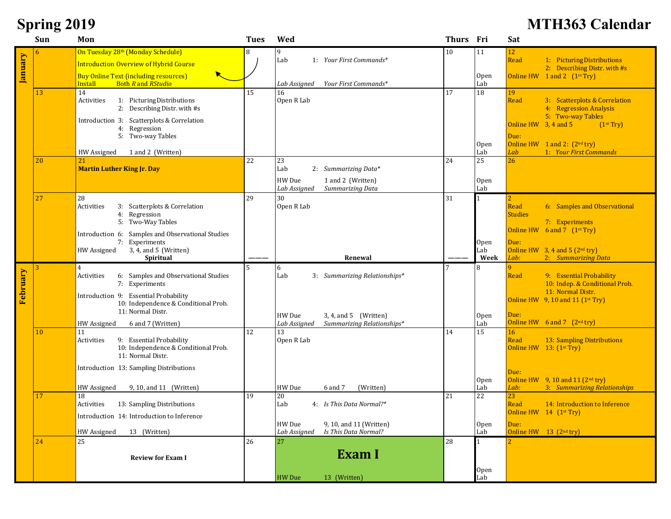# **Spring 2019 MTH363 Calendar**

|          | Sun | Mon                                                                            | <b>Tues</b> | Wed                                        | Thurs Fri |                         | Sat                                                                  |
|----------|-----|--------------------------------------------------------------------------------|-------------|--------------------------------------------|-----------|-------------------------|----------------------------------------------------------------------|
|          | 6   | On Tuesday 28th (Monday Schedule)                                              | 8           | 9                                          | 10        | 11                      | 12                                                                   |
| January  |     | <b>Introduction Overview of Hybrid Course</b>                                  |             | 1: Your First Commands*<br>Lab             |           |                         | Read<br>1: Picturing Distributions                                   |
|          |     | <b>Buy Online Text (including resources)</b>                                   |             |                                            |           | Open                    | 2: Describing Distr. with #s<br>Online HW $1$ and $2$ $(1st Try)$    |
|          |     | <b>Install</b><br><b>Both R</b> and RStudio                                    |             | Your First Commands*<br>Lab Assigned       |           | Lab                     |                                                                      |
|          | 13  | 14                                                                             | 15          | 16                                         | 17        | 18                      | 19                                                                   |
|          |     | 1: Picturing Distributions<br>Activities<br>2: Describing Distr. with #s       |             | Open R Lab                                 |           |                         | 3: Scatterplots & Correlation<br>Read<br>4: Regression Analysis      |
|          |     | Introduction 3: Scatterplots & Correlation                                     |             |                                            |           |                         | 5: Two-way Tables                                                    |
|          |     | 4: Regression                                                                  |             |                                            |           |                         | Online HW $3, 4$ and $5$<br>(1 <sup>st</sup> Try)                    |
|          |     | 5: Two-way Tables                                                              |             |                                            |           |                         | Due:                                                                 |
|          |     | HW Assigned<br>1 and 2 (Written)                                               |             |                                            |           | 0 <sub>pen</sub><br>Lab | Online HW $1$ and 2: $(2^{nd}$ try)<br>1: Your First Commands<br>Lab |
|          | 20  | 21                                                                             | 22          | 23                                         | 24        | 25                      | 26                                                                   |
|          |     | <b>Martin Luther King Jr. Day</b>                                              |             | Lab<br>2: Summarizing Data*                |           |                         |                                                                      |
|          |     |                                                                                |             | HW Due<br>1 and 2 (Written)                |           | Open                    |                                                                      |
|          |     |                                                                                |             | Lab Assigned<br>Summarizing Data           |           | Lab                     |                                                                      |
|          | 27  | 28<br>Activities<br>3: Scatterplots & Correlation                              | 29          | 30<br>Open R Lab                           | 31        |                         | 2<br>Read<br>6: Samples and Observational                            |
|          |     | 4: Regression                                                                  |             |                                            |           |                         | <b>Studies</b>                                                       |
|          |     | 5: Two-Way Tables                                                              |             |                                            |           |                         | 7: Experiments                                                       |
|          |     | Introduction 6: Samples and Observational Studies                              |             |                                            |           |                         | Online HW 6 and 7 (1 <sup>st</sup> Try)                              |
|          |     | 7: Experiments<br>3, 4, and 5 (Written)<br>HW Assigned                         |             |                                            |           | 0pen<br>Lab             | Due:<br>Online HW $3, 4$ and $5$ (2 <sup>nd</sup> try)               |
|          |     | Spiritual                                                                      |             | Renewal                                    |           | Week                    | Lab:<br>2: Summarizing Data                                          |
|          | 3   | $\overline{4}$                                                                 |             | 6                                          |           |                         |                                                                      |
|          |     | Activities<br>6: Samples and Observational Studies<br>7: Experiments           |             | Lab<br>3: Summarizing Relationships*       |           |                         | 9: Essential Probability<br>Read<br>10: Indep. & Conditional Prob.   |
| February |     | Introduction 9: Essential Probability                                          |             |                                            |           |                         | 11: Normal Distr.                                                    |
|          |     | 10: Independence & Conditional Prob.                                           |             |                                            |           |                         | Online HW $9, 10$ and 11 (1 <sup>st</sup> Try)                       |
|          |     | 11: Normal Distr.                                                              |             | $3, 4,$ and $5$ (Written)<br>HW Due        |           | Open                    | Due:                                                                 |
|          |     | HW Assigned<br>6 and 7 (Written)                                               |             | Summarizing Relationships*<br>Lab Assigned |           | Lab                     | Online HW $6$ and $7$ $(2^{nd}$ try)                                 |
|          | 10  | 11                                                                             | 12          | 13                                         | 14        | 15                      | 16<br>Read                                                           |
|          |     | Activities<br>9: Essential Probability<br>10: Independence & Conditional Prob. |             | Open R Lab                                 |           |                         | 13: Sampling Distributions<br>Online HW $13: (1st Try)$              |
|          |     | 11: Normal Distr.                                                              |             |                                            |           |                         |                                                                      |
|          |     | Introduction 13: Sampling Distributions                                        |             |                                            |           |                         | Due:                                                                 |
|          |     |                                                                                |             |                                            |           | Open                    | Online HW $9, 10$ and $11$ $(2nd try)$                               |
|          |     | HW Assigned<br>9, 10, and 11 (Written)                                         |             | HW Due<br>6 and 7<br>(Written)             |           | Lab                     | 3: Summarizing Relationships<br>Lab:                                 |
|          | 17  | 18<br>Activities<br>13: Sampling Distributions                                 | 19          | 20<br>Lab<br>4: Is This Data Normal?*      | 21        | 22                      | 23<br>Read<br>14: Introduction to Inference                          |
|          |     |                                                                                |             |                                            |           |                         | Online HW 14 (1 <sup>st</sup> Try)                                   |
|          |     | Introduction 14: Introduction to Inference                                     |             | HW Due<br>9, 10, and 11 (Written)          |           | Open                    | Due:                                                                 |
|          |     | HW Assigned<br>13 (Written)                                                    |             | Is This Data Normal?<br>Lab Assigned       |           | Lab                     | Online HW $13$ (2 <sup>nd</sup> try)                                 |
|          | 24  | 25                                                                             | 26          | 27                                         | 28        |                         |                                                                      |
|          |     | <b>Review for Exam I</b>                                                       |             | Exam I                                     |           |                         |                                                                      |
|          |     |                                                                                |             |                                            |           | Open                    |                                                                      |
|          |     |                                                                                |             | <b>HW</b> Due<br>13 (Written)              |           | Lab                     |                                                                      |